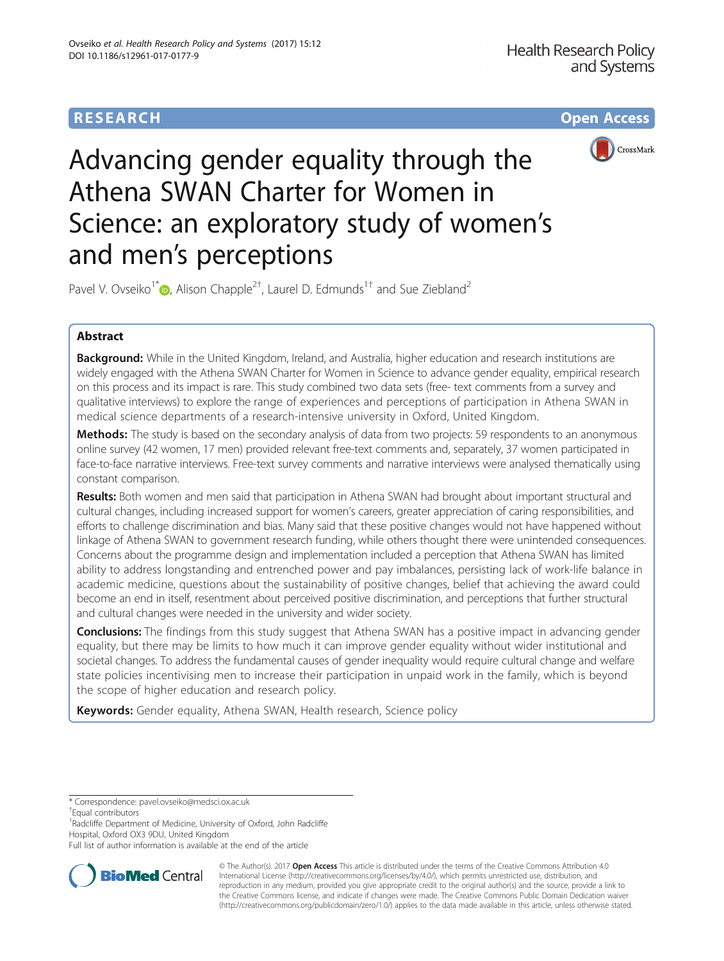# **RESEARCH CHE Open Access**



Advancing gender equality through the Athena SWAN Charter for Women in Science: an exploratory study of women's and men's perceptions

Pavel V. Ovseiko<sup>1\*</sup> D[,](http://orcid.org/0000-0002-3504-2177) Alison Chapple<sup>2†</sup>, Laurel D. Edmunds<sup>1†</sup> and Sue Ziebland<sup>2</sup>

## Abstract

Background: While in the United Kingdom, Ireland, and Australia, higher education and research institutions are widely engaged with the Athena SWAN Charter for Women in Science to advance gender equality, empirical research on this process and its impact is rare. This study combined two data sets (free- text comments from a survey and qualitative interviews) to explore the range of experiences and perceptions of participation in Athena SWAN in medical science departments of a research-intensive university in Oxford, United Kingdom.

**Methods:** The study is based on the secondary analysis of data from two projects: 59 respondents to an anonymous online survey (42 women, 17 men) provided relevant free-text comments and, separately, 37 women participated in face-to-face narrative interviews. Free-text survey comments and narrative interviews were analysed thematically using constant comparison.

Results: Both women and men said that participation in Athena SWAN had brought about important structural and cultural changes, including increased support for women's careers, greater appreciation of caring responsibilities, and efforts to challenge discrimination and bias. Many said that these positive changes would not have happened without linkage of Athena SWAN to government research funding, while others thought there were unintended consequences. Concerns about the programme design and implementation included a perception that Athena SWAN has limited ability to address longstanding and entrenched power and pay imbalances, persisting lack of work-life balance in academic medicine, questions about the sustainability of positive changes, belief that achieving the award could become an end in itself, resentment about perceived positive discrimination, and perceptions that further structural and cultural changes were needed in the university and wider society.

Conclusions: The findings from this study suggest that Athena SWAN has a positive impact in advancing gender equality, but there may be limits to how much it can improve gender equality without wider institutional and societal changes. To address the fundamental causes of gender inequality would require cultural change and welfare state policies incentivising men to increase their participation in unpaid work in the family, which is beyond the scope of higher education and research policy.

Keywords: Gender equality, Athena SWAN, Health research, Science policy

\* Correspondence: [pavel.ovseiko@medsci.ox.ac.uk](mailto:pavel.ovseiko@medsci.ox.ac.uk) †

Equal contributors

<sup>1</sup> Radcliffe Department of Medicine, University of Oxford, John Radcliffe Hospital, Oxford OX3 9DU, United Kingdom

Full list of author information is available at the end of the article



© The Author(s). 2017 **Open Access** This article is distributed under the terms of the Creative Commons Attribution 4.0 International License [\(http://creativecommons.org/licenses/by/4.0/](http://creativecommons.org/licenses/by/4.0/)), which permits unrestricted use, distribution, and reproduction in any medium, provided you give appropriate credit to the original author(s) and the source, provide a link to the Creative Commons license, and indicate if changes were made. The Creative Commons Public Domain Dedication waiver [\(http://creativecommons.org/publicdomain/zero/1.0/](http://creativecommons.org/publicdomain/zero/1.0/)) applies to the data made available in this article, unless otherwise stated.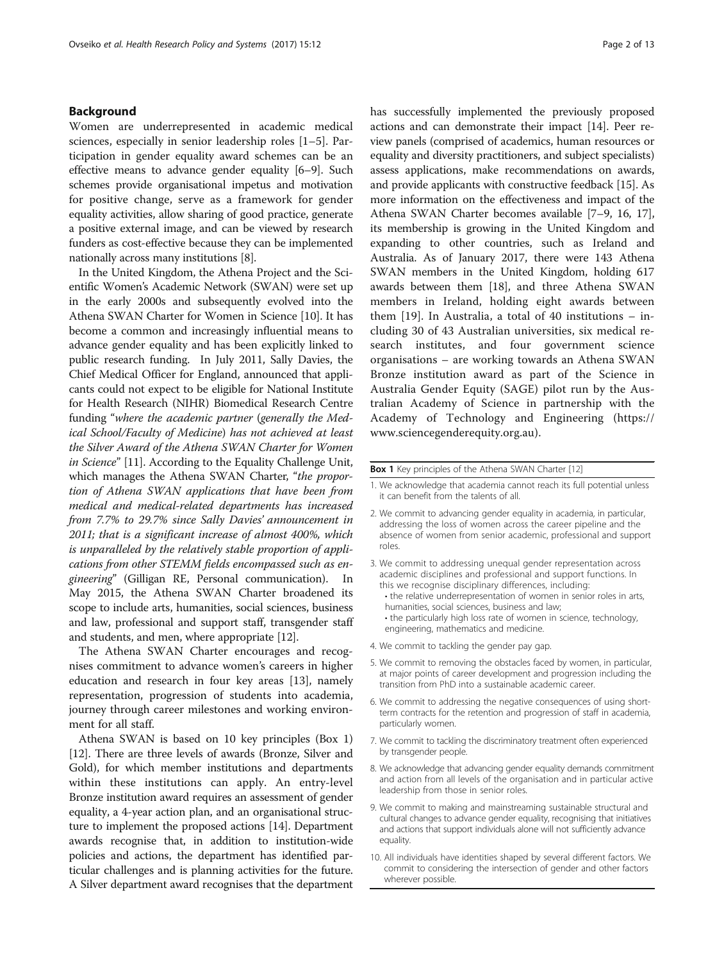## Background

Women are underrepresented in academic medical sciences, especially in senior leadership roles [[1](#page-11-0)–[5\]](#page-11-0). Participation in gender equality award schemes can be an effective means to advance gender equality [\[6](#page-11-0)–[9\]](#page-11-0). Such schemes provide organisational impetus and motivation for positive change, serve as a framework for gender equality activities, allow sharing of good practice, generate a positive external image, and can be viewed by research funders as cost-effective because they can be implemented nationally across many institutions [\[8\]](#page-11-0).

In the United Kingdom, the Athena Project and the Scientific Women's Academic Network (SWAN) were set up in the early 2000s and subsequently evolved into the Athena SWAN Charter for Women in Science [\[10](#page-11-0)]. It has become a common and increasingly influential means to advance gender equality and has been explicitly linked to public research funding. In July 2011, Sally Davies, the Chief Medical Officer for England, announced that applicants could not expect to be eligible for National Institute for Health Research (NIHR) Biomedical Research Centre funding "where the academic partner (generally the Medical School/Faculty of Medicine) has not achieved at least the Silver Award of the Athena SWAN Charter for Women in Science" [\[11\]](#page-11-0). According to the Equality Challenge Unit, which manages the Athena SWAN Charter, "the proportion of Athena SWAN applications that have been from medical and medical-related departments has increased from 7.7% to 29.7% since Sally Davies' announcement in 2011; that is a significant increase of almost 400%, which is unparalleled by the relatively stable proportion of applications from other STEMM fields encompassed such as engineering" (Gilligan RE, Personal communication). In May 2015, the Athena SWAN Charter broadened its scope to include arts, humanities, social sciences, business and law, professional and support staff, transgender staff and students, and men, where appropriate [\[12\]](#page-11-0).

The Athena SWAN Charter encourages and recognises commitment to advance women's careers in higher education and research in four key areas [\[13](#page-12-0)], namely representation, progression of students into academia, journey through career milestones and working environment for all staff.

Athena SWAN is based on 10 key principles (Box 1) [[12](#page-11-0)]. There are three levels of awards (Bronze, Silver and Gold), for which member institutions and departments within these institutions can apply. An entry-level Bronze institution award requires an assessment of gender equality, a 4-year action plan, and an organisational structure to implement the proposed actions [\[14\]](#page-12-0). Department awards recognise that, in addition to institution-wide policies and actions, the department has identified particular challenges and is planning activities for the future. A Silver department award recognises that the department has successfully implemented the previously proposed actions and can demonstrate their impact [\[14\]](#page-12-0). Peer review panels (comprised of academics, human resources or equality and diversity practitioners, and subject specialists) assess applications, make recommendations on awards, and provide applicants with constructive feedback [\[15\]](#page-12-0). As more information on the effectiveness and impact of the Athena SWAN Charter becomes available [\[7](#page-11-0)–[9,](#page-11-0) [16](#page-12-0), [17](#page-12-0)], its membership is growing in the United Kingdom and expanding to other countries, such as Ireland and Australia. As of January 2017, there were 143 Athena SWAN members in the United Kingdom, holding 617 awards between them [\[18\]](#page-12-0), and three Athena SWAN members in Ireland, holding eight awards between them [\[19](#page-12-0)]. In Australia, a total of 40 institutions – including 30 of 43 Australian universities, six medical research institutes, and four government science organisations – are working towards an Athena SWAN Bronze institution award as part of the Science in Australia Gender Equity (SAGE) pilot run by the Australian Academy of Science in partnership with the Academy of Technology and Engineering ([https://](https://www.sciencegenderequity.org.au) [www.sciencegenderequity.org.au\)](https://www.sciencegenderequity.org.au).

#### Box 1 Key principles of the Athena SWAN Charter [[12\]](#page-11-0)

- 1. We acknowledge that academia cannot reach its full potential unless it can benefit from the talents of all.
- 2. We commit to advancing gender equality in academia, in particular, addressing the loss of women across the career pipeline and the absence of women from senior academic, professional and support roles.
- 3. We commit to addressing unequal gender representation across academic disciplines and professional and support functions. In this we recognise disciplinary differences, including:
	- the relative underrepresentation of women in senior roles in arts, humanities, social sciences, business and law; • the particularly high loss rate of women in science, technology,
	- engineering, mathematics and medicine.
- 4. We commit to tackling the gender pay gap.
- 5. We commit to removing the obstacles faced by women, in particular, at major points of career development and progression including the transition from PhD into a sustainable academic career.
- 6. We commit to addressing the negative consequences of using shortterm contracts for the retention and progression of staff in academia, particularly women.
- 7. We commit to tackling the discriminatory treatment often experienced by transgender people.
- 8. We acknowledge that advancing gender equality demands commitment and action from all levels of the organisation and in particular active leadership from those in senior roles.
- 9. We commit to making and mainstreaming sustainable structural and cultural changes to advance gender equality, recognising that initiatives and actions that support individuals alone will not sufficiently advance equality.
- 10. All individuals have identities shaped by several different factors. We commit to considering the intersection of gender and other factors wherever possible.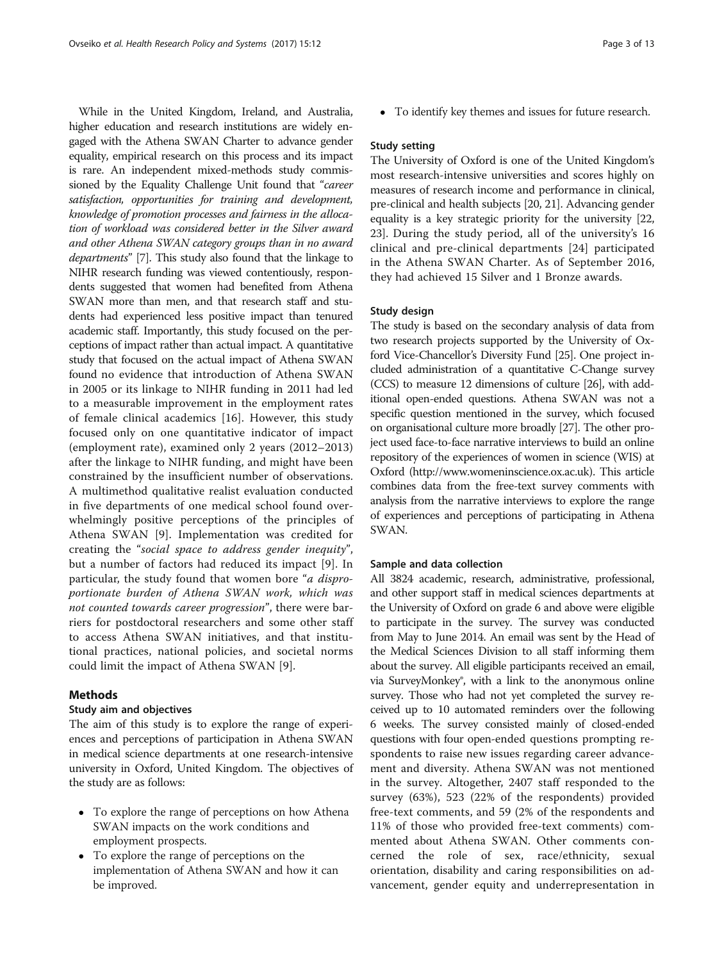While in the United Kingdom, Ireland, and Australia, higher education and research institutions are widely engaged with the Athena SWAN Charter to advance gender equality, empirical research on this process and its impact is rare. An independent mixed-methods study commissioned by the Equality Challenge Unit found that "career satisfaction, opportunities for training and development, knowledge of promotion processes and fairness in the allocation of workload was considered better in the Silver award and other Athena SWAN category groups than in no award departments" [\[7\]](#page-11-0). This study also found that the linkage to NIHR research funding was viewed contentiously, respondents suggested that women had benefited from Athena SWAN more than men, and that research staff and students had experienced less positive impact than tenured academic staff. Importantly, this study focused on the perceptions of impact rather than actual impact. A quantitative study that focused on the actual impact of Athena SWAN found no evidence that introduction of Athena SWAN in 2005 or its linkage to NIHR funding in 2011 had led to a measurable improvement in the employment rates of female clinical academics [\[16](#page-12-0)]. However, this study focused only on one quantitative indicator of impact (employment rate), examined only 2 years (2012–2013) after the linkage to NIHR funding, and might have been constrained by the insufficient number of observations. A multimethod qualitative realist evaluation conducted in five departments of one medical school found overwhelmingly positive perceptions of the principles of Athena SWAN [[9\]](#page-11-0). Implementation was credited for creating the "social space to address gender inequity", but a number of factors had reduced its impact [[9\]](#page-11-0). In particular, the study found that women bore "a disproportionate burden of Athena SWAN work, which was not counted towards career progression", there were barriers for postdoctoral researchers and some other staff to access Athena SWAN initiatives, and that institutional practices, national policies, and societal norms could limit the impact of Athena SWAN [[9\]](#page-11-0).

## Methods

## Study aim and objectives

The aim of this study is to explore the range of experiences and perceptions of participation in Athena SWAN in medical science departments at one research-intensive university in Oxford, United Kingdom. The objectives of the study are as follows:

- To explore the range of perceptions on how Athena SWAN impacts on the work conditions and employment prospects.
- To explore the range of perceptions on the implementation of Athena SWAN and how it can be improved.

To identify key themes and issues for future research.

## Study setting

The University of Oxford is one of the United Kingdom's most research-intensive universities and scores highly on measures of research income and performance in clinical, pre-clinical and health subjects [\[20, 21](#page-12-0)]. Advancing gender equality is a key strategic priority for the university [[22](#page-12-0), [23](#page-12-0)]. During the study period, all of the university's 16 clinical and pre-clinical departments [[24](#page-12-0)] participated in the Athena SWAN Charter. As of September 2016, they had achieved 15 Silver and 1 Bronze awards.

### Study design

The study is based on the secondary analysis of data from two research projects supported by the University of Oxford Vice-Chancellor's Diversity Fund [\[25\]](#page-12-0). One project included administration of a quantitative C-Change survey (CCS) to measure 12 dimensions of culture [\[26](#page-12-0)], with additional open-ended questions. Athena SWAN was not a specific question mentioned in the survey, which focused on organisational culture more broadly [\[27](#page-12-0)]. The other project used face-to-face narrative interviews to build an online repository of the experiences of women in science (WIS) at Oxford ([http://www.womeninscience.ox.ac.uk\)](http://www.womeninscience.ox.ac.uk/). This article combines data from the free-text survey comments with analysis from the narrative interviews to explore the range of experiences and perceptions of participating in Athena SWAN.

### Sample and data collection

All 3824 academic, research, administrative, professional, and other support staff in medical sciences departments at the University of Oxford on grade 6 and above were eligible to participate in the survey. The survey was conducted from May to June 2014. An email was sent by the Head of the Medical Sciences Division to all staff informing them about the survey. All eligible participants received an email, via SurveyMonkey®, with a link to the anonymous online survey. Those who had not yet completed the survey received up to 10 automated reminders over the following 6 weeks. The survey consisted mainly of closed-ended questions with four open-ended questions prompting respondents to raise new issues regarding career advancement and diversity. Athena SWAN was not mentioned in the survey. Altogether, 2407 staff responded to the survey (63%), 523 (22% of the respondents) provided free-text comments, and 59 (2% of the respondents and 11% of those who provided free-text comments) commented about Athena SWAN. Other comments concerned the role of sex, race/ethnicity, sexual orientation, disability and caring responsibilities on advancement, gender equity and underrepresentation in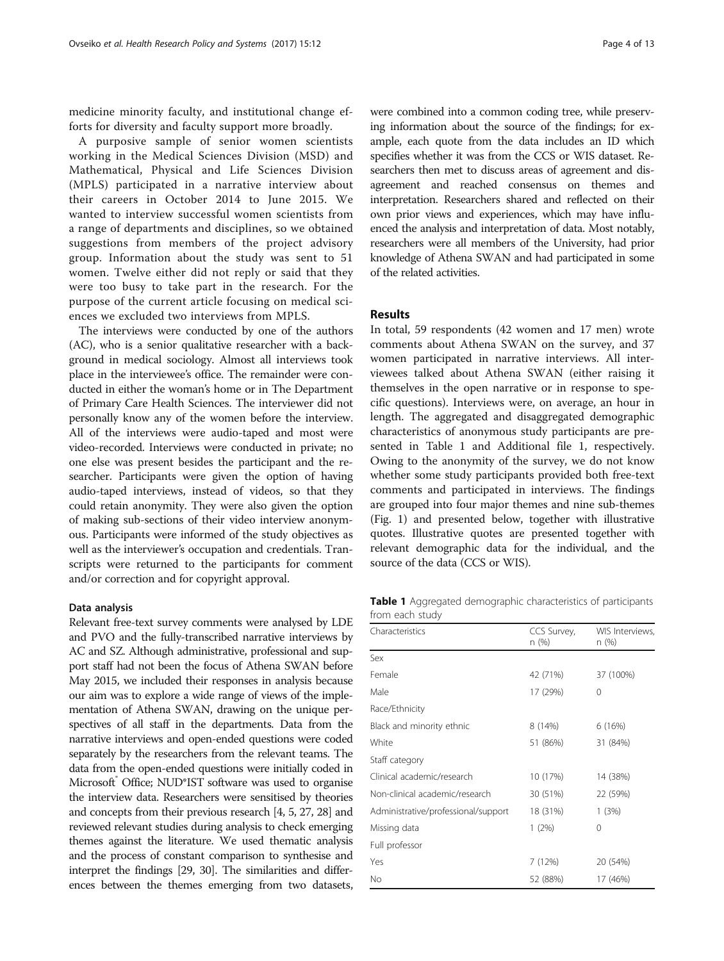medicine minority faculty, and institutional change efforts for diversity and faculty support more broadly.

A purposive sample of senior women scientists working in the Medical Sciences Division (MSD) and Mathematical, Physical and Life Sciences Division (MPLS) participated in a narrative interview about their careers in October 2014 to June 2015. We wanted to interview successful women scientists from a range of departments and disciplines, so we obtained suggestions from members of the project advisory group. Information about the study was sent to 51 women. Twelve either did not reply or said that they were too busy to take part in the research. For the purpose of the current article focusing on medical sciences we excluded two interviews from MPLS.

The interviews were conducted by one of the authors (AC), who is a senior qualitative researcher with a background in medical sociology. Almost all interviews took place in the interviewee's office. The remainder were conducted in either the woman's home or in The Department of Primary Care Health Sciences. The interviewer did not personally know any of the women before the interview. All of the interviews were audio-taped and most were video-recorded. Interviews were conducted in private; no one else was present besides the participant and the researcher. Participants were given the option of having audio-taped interviews, instead of videos, so that they could retain anonymity. They were also given the option of making sub-sections of their video interview anonymous. Participants were informed of the study objectives as well as the interviewer's occupation and credentials. Transcripts were returned to the participants for comment and/or correction and for copyright approval.

#### Data analysis

Relevant free-text survey comments were analysed by LDE and PVO and the fully-transcribed narrative interviews by AC and SZ. Although administrative, professional and support staff had not been the focus of Athena SWAN before May 2015, we included their responses in analysis because our aim was to explore a wide range of views of the implementation of Athena SWAN, drawing on the unique perspectives of all staff in the departments. Data from the narrative interviews and open-ended questions were coded separately by the researchers from the relevant teams. The data from the open-ended questions were initially coded in Microsoft<sup>®</sup> Office; NUD<sup>\*</sup>IST software was used to organise the interview data. Researchers were sensitised by theories and concepts from their previous research [\[4, 5,](#page-11-0) [27](#page-12-0), [28](#page-12-0)] and reviewed relevant studies during analysis to check emerging themes against the literature. We used thematic analysis and the process of constant comparison to synthesise and interpret the findings [\[29](#page-12-0), [30\]](#page-12-0). The similarities and differences between the themes emerging from two datasets, were combined into a common coding tree, while preserving information about the source of the findings; for example, each quote from the data includes an ID which specifies whether it was from the CCS or WIS dataset. Researchers then met to discuss areas of agreement and disagreement and reached consensus on themes and interpretation. Researchers shared and reflected on their own prior views and experiences, which may have influenced the analysis and interpretation of data. Most notably, researchers were all members of the University, had prior knowledge of Athena SWAN and had participated in some of the related activities.

### Results

In total, 59 respondents (42 women and 17 men) wrote comments about Athena SWAN on the survey, and 37 women participated in narrative interviews. All interviewees talked about Athena SWAN (either raising it themselves in the open narrative or in response to specific questions). Interviews were, on average, an hour in length. The aggregated and disaggregated demographic characteristics of anonymous study participants are presented in Table 1 and Additional file [1](#page-11-0), respectively. Owing to the anonymity of the survey, we do not know whether some study participants provided both free-text comments and participated in interviews. The findings are grouped into four major themes and nine sub-themes (Fig. [1](#page-4-0)) and presented below, together with illustrative quotes. Illustrative quotes are presented together with relevant demographic data for the individual, and the source of the data (CCS or WIS).

Table 1 Aggregated demographic characteristics of participants from each study

| Characteristics                     | CCS Survey,<br>n (%) | WIS Interviews,<br>n (%) |
|-------------------------------------|----------------------|--------------------------|
| Sex                                 |                      |                          |
| Female                              | 42 (71%)             | 37 (100%)                |
| Male                                | 17 (29%)             | 0                        |
| Race/Ethnicity                      |                      |                          |
| Black and minority ethnic           | 8 (14%)              | 6(16%)                   |
| White                               | 51 (86%)             | 31 (84%)                 |
| Staff category                      |                      |                          |
| Clinical academic/research          | 10 (17%)             | 14 (38%)                 |
| Non-clinical academic/research      | 30 (51%)             | 22 (59%)                 |
| Administrative/professional/support | 18 (31%)             | 1(3%)                    |
| Missing data                        | 1(2%)                | 0                        |
| Full professor                      |                      |                          |
| Yes                                 | 7 (12%)              | 20 (54%)                 |
| <b>No</b>                           | 52 (88%)             | 17 (46%)                 |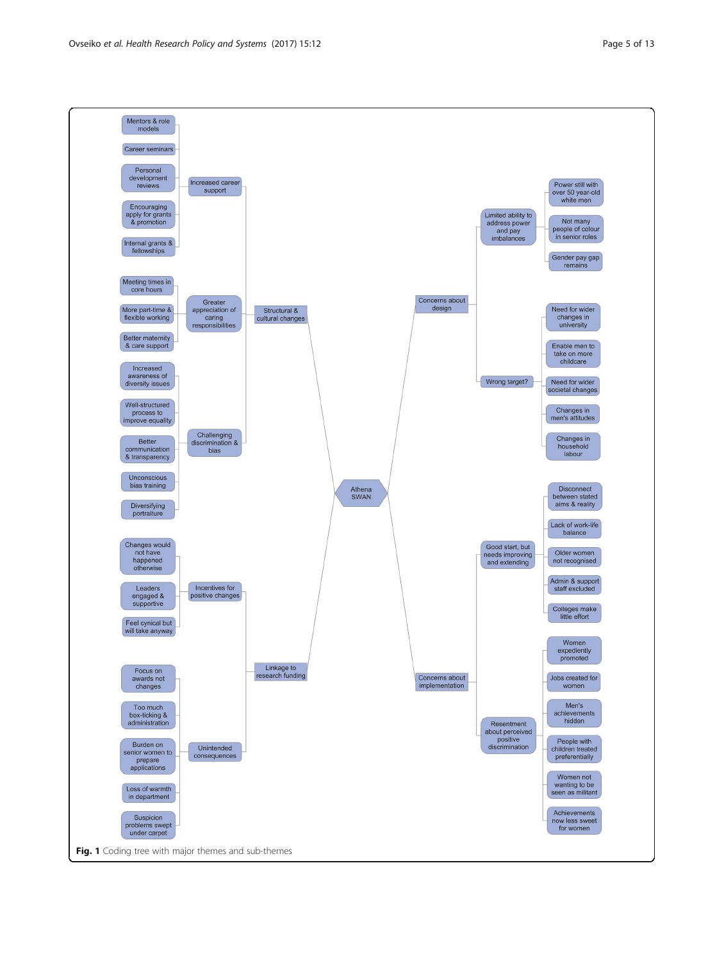<span id="page-4-0"></span>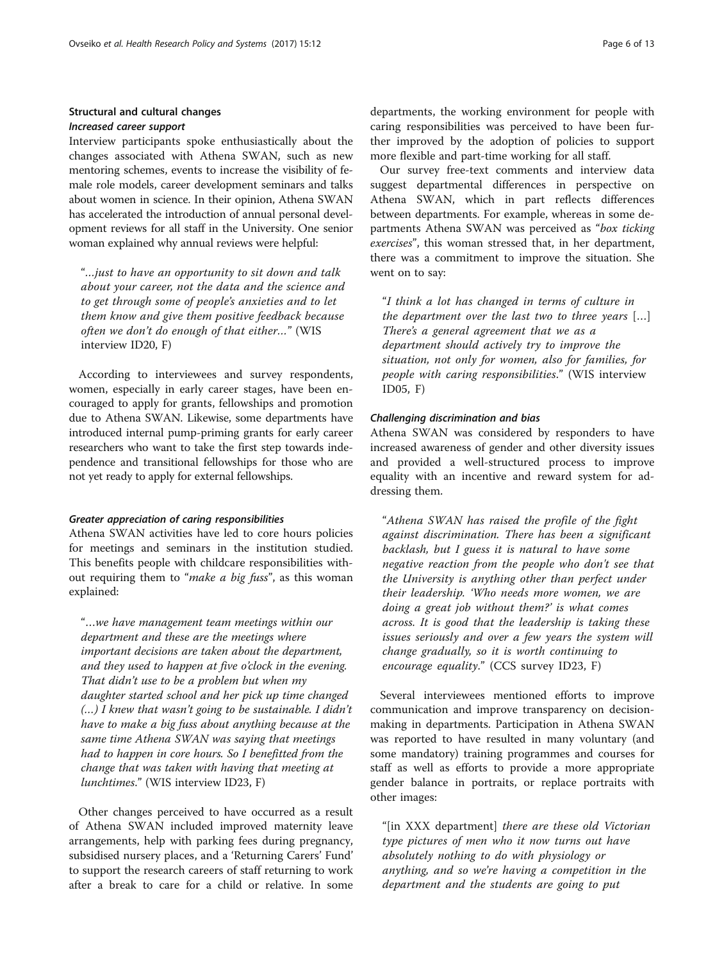## Structural and cultural changes Increased career support

Interview participants spoke enthusiastically about the changes associated with Athena SWAN, such as new mentoring schemes, events to increase the visibility of female role models, career development seminars and talks about women in science. In their opinion, Athena SWAN has accelerated the introduction of annual personal development reviews for all staff in the University. One senior woman explained why annual reviews were helpful:

"…just to have an opportunity to sit down and talk about your career, not the data and the science and to get through some of people's anxieties and to let them know and give them positive feedback because often we don't do enough of that either…" (WIS interview ID20, F)

According to interviewees and survey respondents, women, especially in early career stages, have been encouraged to apply for grants, fellowships and promotion due to Athena SWAN. Likewise, some departments have introduced internal pump-priming grants for early career researchers who want to take the first step towards independence and transitional fellowships for those who are not yet ready to apply for external fellowships.

#### Greater appreciation of caring responsibilities

Athena SWAN activities have led to core hours policies for meetings and seminars in the institution studied. This benefits people with childcare responsibilities without requiring them to "make a big fuss", as this woman explained:

"…we have management team meetings within our department and these are the meetings where important decisions are taken about the department, and they used to happen at five o'clock in the evening. That didn't use to be a problem but when my daughter started school and her pick up time changed (…) I knew that wasn't going to be sustainable. I didn't have to make a big fuss about anything because at the same time Athena SWAN was saying that meetings had to happen in core hours. So I benefitted from the change that was taken with having that meeting at lunchtimes." (WIS interview ID23, F)

Other changes perceived to have occurred as a result of Athena SWAN included improved maternity leave arrangements, help with parking fees during pregnancy, subsidised nursery places, and a 'Returning Carers' Fund' to support the research careers of staff returning to work after a break to care for a child or relative. In some

departments, the working environment for people with caring responsibilities was perceived to have been further improved by the adoption of policies to support more flexible and part-time working for all staff.

Our survey free-text comments and interview data suggest departmental differences in perspective on Athena SWAN, which in part reflects differences between departments. For example, whereas in some departments Athena SWAN was perceived as "box ticking exercises", this woman stressed that, in her department, there was a commitment to improve the situation. She went on to say:

"I think a lot has changed in terms of culture in the department over the last two to three years […] There's a general agreement that we as a department should actively try to improve the situation, not only for women, also for families, for people with caring responsibilities." (WIS interview ID05, F)

#### Challenging discrimination and bias

Athena SWAN was considered by responders to have increased awareness of gender and other diversity issues and provided a well-structured process to improve equality with an incentive and reward system for addressing them.

"Athena SWAN has raised the profile of the fight against discrimination. There has been a significant backlash, but I guess it is natural to have some negative reaction from the people who don't see that the University is anything other than perfect under their leadership. 'Who needs more women, we are doing a great job without them?' is what comes across. It is good that the leadership is taking these issues seriously and over a few years the system will change gradually, so it is worth continuing to encourage equality." (CCS survey ID23, F)

Several interviewees mentioned efforts to improve communication and improve transparency on decisionmaking in departments. Participation in Athena SWAN was reported to have resulted in many voluntary (and some mandatory) training programmes and courses for staff as well as efforts to provide a more appropriate gender balance in portraits, or replace portraits with other images:

"[in XXX department] there are these old Victorian type pictures of men who it now turns out have absolutely nothing to do with physiology or anything, and so we're having a competition in the department and the students are going to put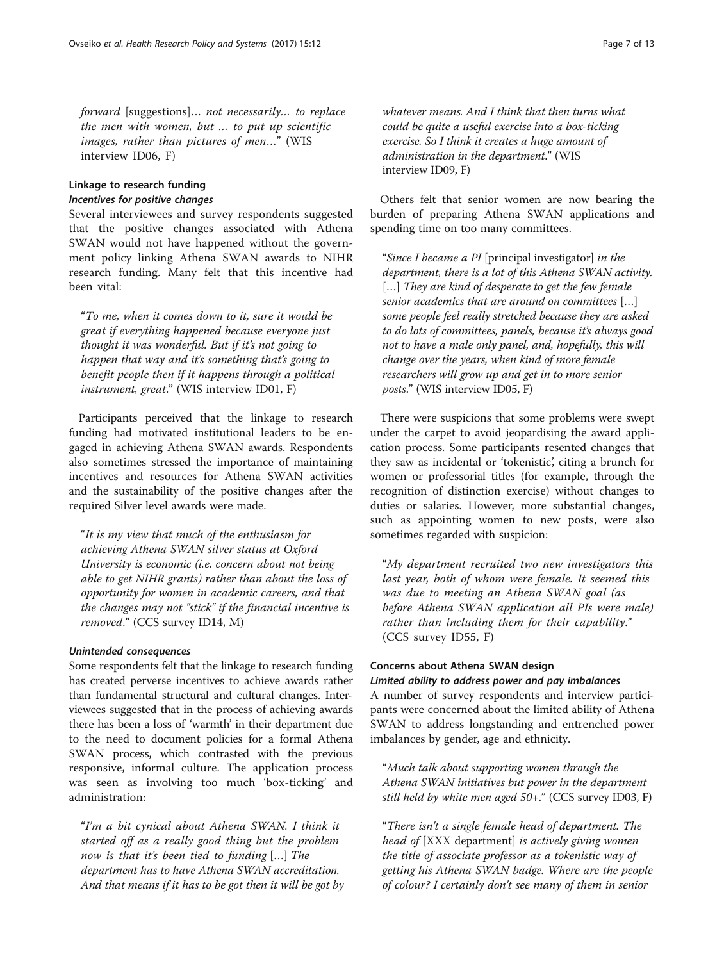forward [suggestions]… not necessarily… to replace the men with women, but … to put up scientific images, rather than pictures of men…" (WIS interview ID06, F)

## Linkage to research funding Incentives for positive changes

Several interviewees and survey respondents suggested that the positive changes associated with Athena SWAN would not have happened without the government policy linking Athena SWAN awards to NIHR research funding. Many felt that this incentive had been vital:

"To me, when it comes down to it, sure it would be great if everything happened because everyone just thought it was wonderful. But if it's not going to happen that way and it's something that's going to benefit people then if it happens through a political instrument, great." (WIS interview ID01, F)

Participants perceived that the linkage to research funding had motivated institutional leaders to be engaged in achieving Athena SWAN awards. Respondents also sometimes stressed the importance of maintaining incentives and resources for Athena SWAN activities and the sustainability of the positive changes after the required Silver level awards were made.

"It is my view that much of the enthusiasm for achieving Athena SWAN silver status at Oxford University is economic (i.e. concern about not being able to get NIHR grants) rather than about the loss of opportunity for women in academic careers, and that the changes may not "stick" if the financial incentive is removed." (CCS survey ID14, M)

## Unintended consequences

Some respondents felt that the linkage to research funding has created perverse incentives to achieve awards rather than fundamental structural and cultural changes. Interviewees suggested that in the process of achieving awards there has been a loss of 'warmth' in their department due to the need to document policies for a formal Athena SWAN process, which contrasted with the previous responsive, informal culture. The application process was seen as involving too much 'box-ticking' and administration:

"I'm a bit cynical about Athena SWAN. I think it started off as a really good thing but the problem now is that it's been tied to funding […] The department has to have Athena SWAN accreditation. And that means if it has to be got then it will be got by

whatever means. And I think that then turns what could be quite a useful exercise into a box-ticking exercise. So I think it creates a huge amount of administration in the department." (WIS interview ID09, F)

Others felt that senior women are now bearing the burden of preparing Athena SWAN applications and spending time on too many committees.

"Since I became a PI [principal investigator] in the department, there is a lot of this Athena SWAN activity. [...] They are kind of desperate to get the few female senior academics that are around on committees […] some people feel really stretched because they are asked to do lots of committees, panels, because it's always good not to have a male only panel, and, hopefully, this will change over the years, when kind of more female researchers will grow up and get in to more senior posts." (WIS interview ID05, F)

There were suspicions that some problems were swept under the carpet to avoid jeopardising the award application process. Some participants resented changes that they saw as incidental or 'tokenistic', citing a brunch for women or professorial titles (for example, through the recognition of distinction exercise) without changes to duties or salaries. However, more substantial changes, such as appointing women to new posts, were also sometimes regarded with suspicion:

"My department recruited two new investigators this last year, both of whom were female. It seemed this was due to meeting an Athena SWAN goal (as before Athena SWAN application all PIs were male) rather than including them for their capability." (CCS survey ID55, F)

### Concerns about Athena SWAN design

### Limited ability to address power and pay imbalances

A number of survey respondents and interview participants were concerned about the limited ability of Athena SWAN to address longstanding and entrenched power imbalances by gender, age and ethnicity.

"Much talk about supporting women through the Athena SWAN initiatives but power in the department still held by white men aged  $50+$ ." (CCS survey ID03, F)

"There isn't a single female head of department. The head of [XXX department] is actively giving women the title of associate professor as a tokenistic way of getting his Athena SWAN badge. Where are the people of colour? I certainly don't see many of them in senior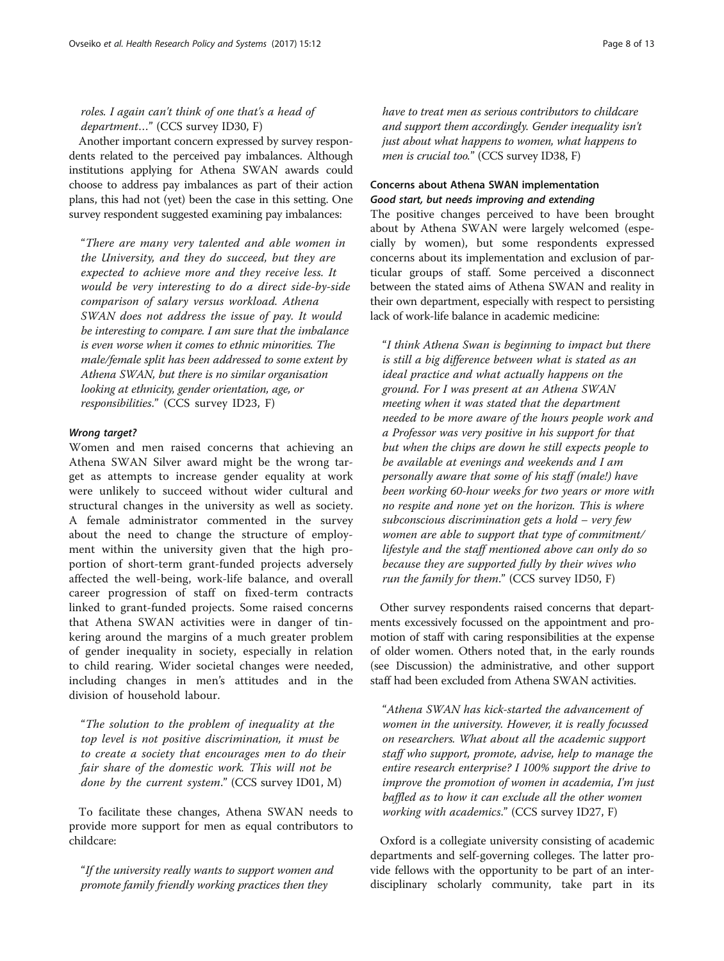## roles. I again can't think of one that's a head of department…" (CCS survey ID30, F)

Another important concern expressed by survey respondents related to the perceived pay imbalances. Although institutions applying for Athena SWAN awards could choose to address pay imbalances as part of their action plans, this had not (yet) been the case in this setting. One survey respondent suggested examining pay imbalances:

"There are many very talented and able women in the University, and they do succeed, but they are expected to achieve more and they receive less. It would be very interesting to do a direct side-by-side comparison of salary versus workload. Athena SWAN does not address the issue of pay. It would be interesting to compare. I am sure that the imbalance is even worse when it comes to ethnic minorities. The male/female split has been addressed to some extent by Athena SWAN, but there is no similar organisation looking at ethnicity, gender orientation, age, or responsibilities." (CCS survey ID23, F)

### Wrong target?

Women and men raised concerns that achieving an Athena SWAN Silver award might be the wrong target as attempts to increase gender equality at work were unlikely to succeed without wider cultural and structural changes in the university as well as society. A female administrator commented in the survey about the need to change the structure of employment within the university given that the high proportion of short-term grant-funded projects adversely affected the well-being, work-life balance, and overall career progression of staff on fixed-term contracts linked to grant-funded projects. Some raised concerns that Athena SWAN activities were in danger of tinkering around the margins of a much greater problem of gender inequality in society, especially in relation to child rearing. Wider societal changes were needed, including changes in men's attitudes and in the division of household labour.

"The solution to the problem of inequality at the top level is not positive discrimination, it must be to create a society that encourages men to do their fair share of the domestic work. This will not be done by the current system." (CCS survey ID01, M)

To facilitate these changes, Athena SWAN needs to provide more support for men as equal contributors to childcare:

"If the university really wants to support women and promote family friendly working practices then they

have to treat men as serious contributors to childcare and support them accordingly. Gender inequality isn't just about what happens to women, what happens to men is crucial too." (CCS survey ID38, F)

## Concerns about Athena SWAN implementation Good start, but needs improving and extending

The positive changes perceived to have been brought about by Athena SWAN were largely welcomed (especially by women), but some respondents expressed concerns about its implementation and exclusion of particular groups of staff. Some perceived a disconnect between the stated aims of Athena SWAN and reality in their own department, especially with respect to persisting lack of work-life balance in academic medicine:

"I think Athena Swan is beginning to impact but there is still a big difference between what is stated as an ideal practice and what actually happens on the ground. For I was present at an Athena SWAN meeting when it was stated that the department needed to be more aware of the hours people work and a Professor was very positive in his support for that but when the chips are down he still expects people to be available at evenings and weekends and I am personally aware that some of his staff (male!) have been working 60-hour weeks for two years or more with no respite and none yet on the horizon. This is where subconscious discrimination gets a hold – very few women are able to support that type of commitment/ lifestyle and the staff mentioned above can only do so because they are supported fully by their wives who run the family for them." (CCS survey ID50, F)

Other survey respondents raised concerns that departments excessively focussed on the appointment and promotion of staff with caring responsibilities at the expense of older women. Others noted that, in the early rounds (see Discussion) the administrative, and other support staff had been excluded from Athena SWAN activities.

"Athena SWAN has kick-started the advancement of women in the university. However, it is really focussed on researchers. What about all the academic support staff who support, promote, advise, help to manage the entire research enterprise? I 100% support the drive to improve the promotion of women in academia, I'm just baffled as to how it can exclude all the other women working with academics." (CCS survey ID27, F)

Oxford is a collegiate university consisting of academic departments and self-governing colleges. The latter provide fellows with the opportunity to be part of an interdisciplinary scholarly community, take part in its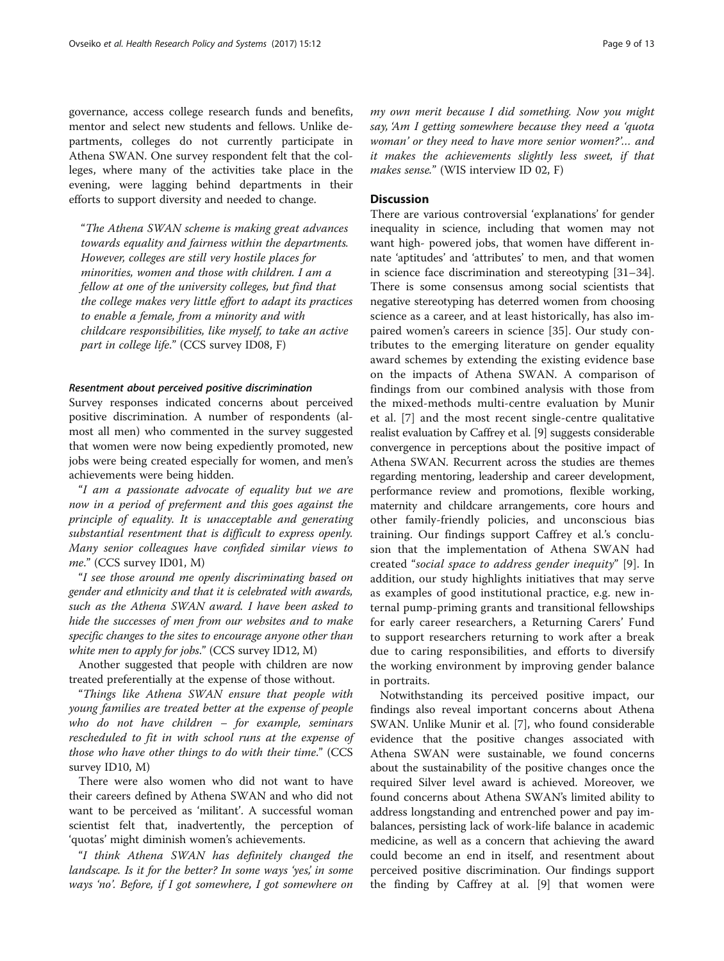governance, access college research funds and benefits, mentor and select new students and fellows. Unlike departments, colleges do not currently participate in Athena SWAN. One survey respondent felt that the colleges, where many of the activities take place in the evening, were lagging behind departments in their efforts to support diversity and needed to change.

"The Athena SWAN scheme is making great advances towards equality and fairness within the departments. However, colleges are still very hostile places for minorities, women and those with children. I am a fellow at one of the university colleges, but find that the college makes very little effort to adapt its practices to enable a female, from a minority and with childcare responsibilities, like myself, to take an active part in college life." (CCS survey ID08, F)

#### Resentment about perceived positive discrimination

Survey responses indicated concerns about perceived positive discrimination. A number of respondents (almost all men) who commented in the survey suggested that women were now being expediently promoted, new jobs were being created especially for women, and men's achievements were being hidden.

"I am a passionate advocate of equality but we are now in a period of preferment and this goes against the principle of equality. It is unacceptable and generating substantial resentment that is difficult to express openly. Many senior colleagues have confided similar views to me." (CCS survey ID01, M)

"I see those around me openly discriminating based on gender and ethnicity and that it is celebrated with awards, such as the Athena SWAN award. I have been asked to hide the successes of men from our websites and to make specific changes to the sites to encourage anyone other than white men to apply for jobs." (CCS survey ID12, M)

Another suggested that people with children are now treated preferentially at the expense of those without.

"Things like Athena SWAN ensure that people with young families are treated better at the expense of people who do not have children – for example, seminars rescheduled to fit in with school runs at the expense of those who have other things to do with their time." (CCS survey ID10, M)

There were also women who did not want to have their careers defined by Athena SWAN and who did not want to be perceived as 'militant'. A successful woman scientist felt that, inadvertently, the perception of 'quotas' might diminish women's achievements.

"I think Athena SWAN has definitely changed the landscape. Is it for the better? In some ways 'yes,' in some ways 'no'. Before, if I got somewhere, I got somewhere on my own merit because I did something. Now you might say, 'Am I getting somewhere because they need a 'quota woman' or they need to have more senior women?'… and it makes the achievements slightly less sweet, if that makes sense." (WIS interview ID 02, F)

## **Discussion**

There are various controversial 'explanations' for gender inequality in science, including that women may not want high- powered jobs, that women have different innate 'aptitudes' and 'attributes' to men, and that women in science face discrimination and stereotyping [[31](#page-12-0)–[34](#page-12-0)]. There is some consensus among social scientists that negative stereotyping has deterred women from choosing science as a career, and at least historically, has also impaired women's careers in science [[35\]](#page-12-0). Our study contributes to the emerging literature on gender equality award schemes by extending the existing evidence base on the impacts of Athena SWAN. A comparison of findings from our combined analysis with those from the mixed-methods multi-centre evaluation by Munir et al. [\[7](#page-11-0)] and the most recent single-centre qualitative realist evaluation by Caffrey et al. [\[9](#page-11-0)] suggests considerable convergence in perceptions about the positive impact of Athena SWAN. Recurrent across the studies are themes regarding mentoring, leadership and career development, performance review and promotions, flexible working, maternity and childcare arrangements, core hours and other family-friendly policies, and unconscious bias training. Our findings support Caffrey et al.'s conclusion that the implementation of Athena SWAN had created "social space to address gender inequity" [[9\]](#page-11-0). In addition, our study highlights initiatives that may serve as examples of good institutional practice, e.g. new internal pump-priming grants and transitional fellowships for early career researchers, a Returning Carers' Fund to support researchers returning to work after a break due to caring responsibilities, and efforts to diversify the working environment by improving gender balance in portraits.

Notwithstanding its perceived positive impact, our findings also reveal important concerns about Athena SWAN. Unlike Munir et al. [[7\]](#page-11-0), who found considerable evidence that the positive changes associated with Athena SWAN were sustainable, we found concerns about the sustainability of the positive changes once the required Silver level award is achieved. Moreover, we found concerns about Athena SWAN's limited ability to address longstanding and entrenched power and pay imbalances, persisting lack of work-life balance in academic medicine, as well as a concern that achieving the award could become an end in itself, and resentment about perceived positive discrimination. Our findings support the finding by Caffrey at al. [\[9\]](#page-11-0) that women were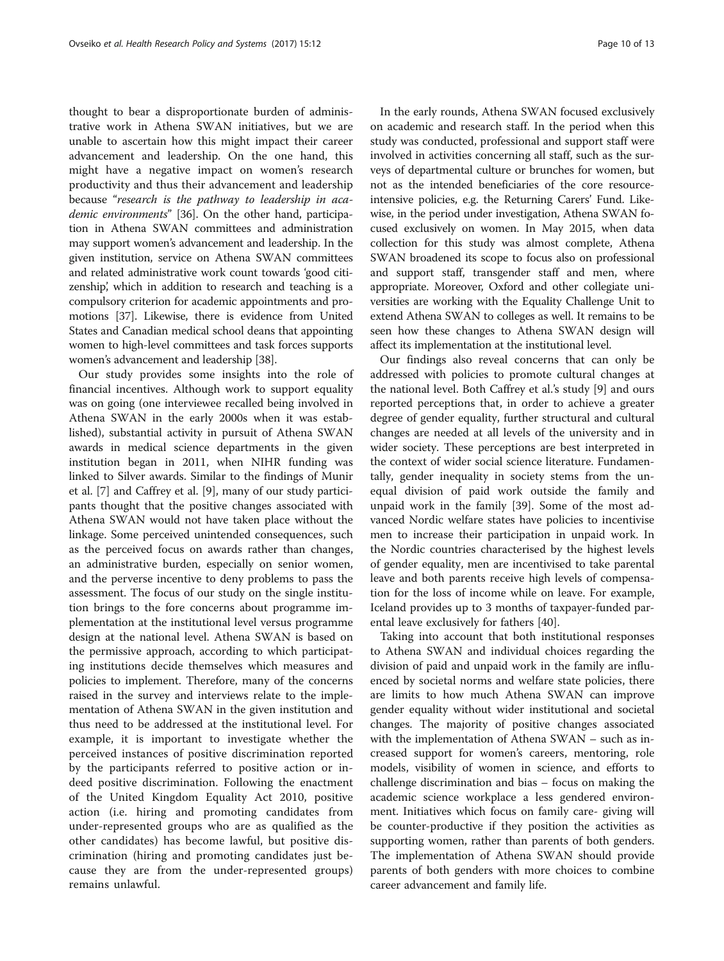thought to bear a disproportionate burden of administrative work in Athena SWAN initiatives, but we are unable to ascertain how this might impact their career advancement and leadership. On the one hand, this might have a negative impact on women's research productivity and thus their advancement and leadership because "research is the pathway to leadership in aca-demic environments" [\[36](#page-12-0)]. On the other hand, participation in Athena SWAN committees and administration may support women's advancement and leadership. In the given institution, service on Athena SWAN committees and related administrative work count towards 'good citizenship', which in addition to research and teaching is a compulsory criterion for academic appointments and promotions [\[37\]](#page-12-0). Likewise, there is evidence from United States and Canadian medical school deans that appointing women to high-level committees and task forces supports women's advancement and leadership [\[38\]](#page-12-0).

Our study provides some insights into the role of financial incentives. Although work to support equality was on going (one interviewee recalled being involved in Athena SWAN in the early 2000s when it was established), substantial activity in pursuit of Athena SWAN awards in medical science departments in the given institution began in 2011, when NIHR funding was linked to Silver awards. Similar to the findings of Munir et al. [\[7](#page-11-0)] and Caffrey et al. [[9](#page-11-0)], many of our study participants thought that the positive changes associated with Athena SWAN would not have taken place without the linkage. Some perceived unintended consequences, such as the perceived focus on awards rather than changes, an administrative burden, especially on senior women, and the perverse incentive to deny problems to pass the assessment. The focus of our study on the single institution brings to the fore concerns about programme implementation at the institutional level versus programme design at the national level. Athena SWAN is based on the permissive approach, according to which participating institutions decide themselves which measures and policies to implement. Therefore, many of the concerns raised in the survey and interviews relate to the implementation of Athena SWAN in the given institution and thus need to be addressed at the institutional level. For example, it is important to investigate whether the perceived instances of positive discrimination reported by the participants referred to positive action or indeed positive discrimination. Following the enactment of the United Kingdom Equality Act 2010, positive action (i.e. hiring and promoting candidates from under-represented groups who are as qualified as the other candidates) has become lawful, but positive discrimination (hiring and promoting candidates just because they are from the under-represented groups) remains unlawful.

In the early rounds, Athena SWAN focused exclusively on academic and research staff. In the period when this study was conducted, professional and support staff were involved in activities concerning all staff, such as the surveys of departmental culture or brunches for women, but not as the intended beneficiaries of the core resourceintensive policies, e.g. the Returning Carers' Fund. Likewise, in the period under investigation, Athena SWAN focused exclusively on women. In May 2015, when data collection for this study was almost complete, Athena SWAN broadened its scope to focus also on professional and support staff, transgender staff and men, where appropriate. Moreover, Oxford and other collegiate universities are working with the Equality Challenge Unit to extend Athena SWAN to colleges as well. It remains to be seen how these changes to Athena SWAN design will affect its implementation at the institutional level.

Our findings also reveal concerns that can only be addressed with policies to promote cultural changes at the national level. Both Caffrey et al.'s study [\[9](#page-11-0)] and ours reported perceptions that, in order to achieve a greater degree of gender equality, further structural and cultural changes are needed at all levels of the university and in wider society. These perceptions are best interpreted in the context of wider social science literature. Fundamentally, gender inequality in society stems from the unequal division of paid work outside the family and unpaid work in the family [\[39](#page-12-0)]. Some of the most advanced Nordic welfare states have policies to incentivise men to increase their participation in unpaid work. In the Nordic countries characterised by the highest levels of gender equality, men are incentivised to take parental leave and both parents receive high levels of compensation for the loss of income while on leave. For example, Iceland provides up to 3 months of taxpayer-funded parental leave exclusively for fathers [\[40](#page-12-0)].

Taking into account that both institutional responses to Athena SWAN and individual choices regarding the division of paid and unpaid work in the family are influenced by societal norms and welfare state policies, there are limits to how much Athena SWAN can improve gender equality without wider institutional and societal changes. The majority of positive changes associated with the implementation of Athena SWAN – such as increased support for women's careers, mentoring, role models, visibility of women in science, and efforts to challenge discrimination and bias – focus on making the academic science workplace a less gendered environment. Initiatives which focus on family care- giving will be counter-productive if they position the activities as supporting women, rather than parents of both genders. The implementation of Athena SWAN should provide parents of both genders with more choices to combine career advancement and family life.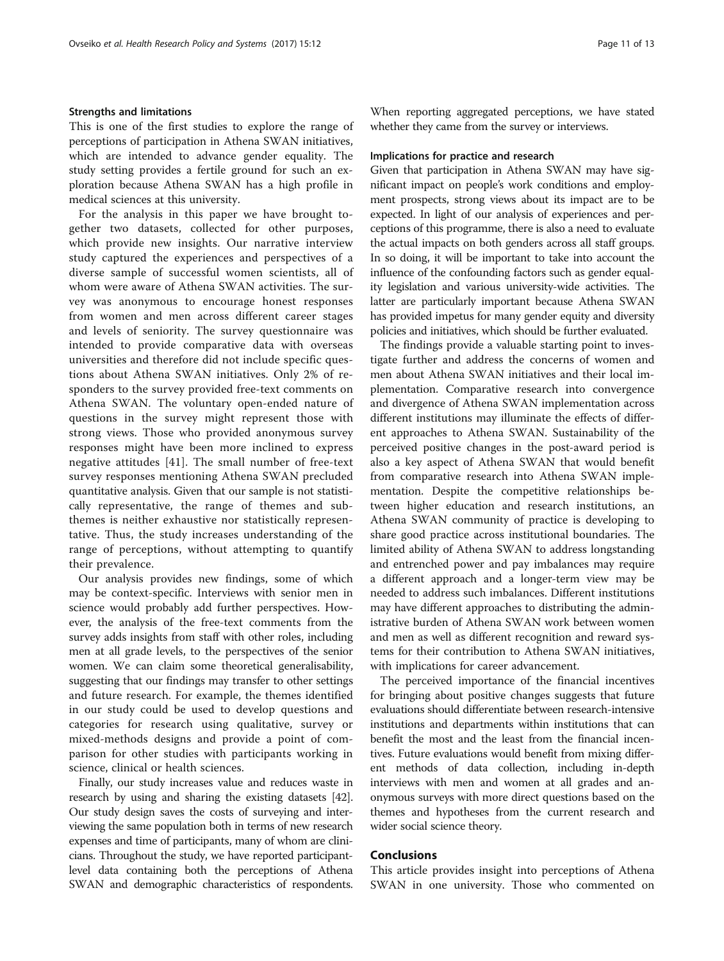### Strengths and limitations

This is one of the first studies to explore the range of perceptions of participation in Athena SWAN initiatives, which are intended to advance gender equality. The study setting provides a fertile ground for such an exploration because Athena SWAN has a high profile in medical sciences at this university.

For the analysis in this paper we have brought together two datasets, collected for other purposes, which provide new insights. Our narrative interview study captured the experiences and perspectives of a diverse sample of successful women scientists, all of whom were aware of Athena SWAN activities. The survey was anonymous to encourage honest responses from women and men across different career stages and levels of seniority. The survey questionnaire was intended to provide comparative data with overseas universities and therefore did not include specific questions about Athena SWAN initiatives. Only 2% of responders to the survey provided free-text comments on Athena SWAN. The voluntary open-ended nature of questions in the survey might represent those with strong views. Those who provided anonymous survey responses might have been more inclined to express negative attitudes [[41](#page-12-0)]. The small number of free-text survey responses mentioning Athena SWAN precluded quantitative analysis. Given that our sample is not statistically representative, the range of themes and subthemes is neither exhaustive nor statistically representative. Thus, the study increases understanding of the range of perceptions, without attempting to quantify their prevalence.

Our analysis provides new findings, some of which may be context-specific. Interviews with senior men in science would probably add further perspectives. However, the analysis of the free-text comments from the survey adds insights from staff with other roles, including men at all grade levels, to the perspectives of the senior women. We can claim some theoretical generalisability, suggesting that our findings may transfer to other settings and future research. For example, the themes identified in our study could be used to develop questions and categories for research using qualitative, survey or mixed-methods designs and provide a point of comparison for other studies with participants working in science, clinical or health sciences.

Finally, our study increases value and reduces waste in research by using and sharing the existing datasets [\[42](#page-12-0)]. Our study design saves the costs of surveying and interviewing the same population both in terms of new research expenses and time of participants, many of whom are clinicians. Throughout the study, we have reported participantlevel data containing both the perceptions of Athena SWAN and demographic characteristics of respondents. When reporting aggregated perceptions, we have stated whether they came from the survey or interviews.

#### Implications for practice and research

Given that participation in Athena SWAN may have significant impact on people's work conditions and employment prospects, strong views about its impact are to be expected. In light of our analysis of experiences and perceptions of this programme, there is also a need to evaluate the actual impacts on both genders across all staff groups. In so doing, it will be important to take into account the influence of the confounding factors such as gender equality legislation and various university-wide activities. The latter are particularly important because Athena SWAN has provided impetus for many gender equity and diversity policies and initiatives, which should be further evaluated.

The findings provide a valuable starting point to investigate further and address the concerns of women and men about Athena SWAN initiatives and their local implementation. Comparative research into convergence and divergence of Athena SWAN implementation across different institutions may illuminate the effects of different approaches to Athena SWAN. Sustainability of the perceived positive changes in the post-award period is also a key aspect of Athena SWAN that would benefit from comparative research into Athena SWAN implementation. Despite the competitive relationships between higher education and research institutions, an Athena SWAN community of practice is developing to share good practice across institutional boundaries. The limited ability of Athena SWAN to address longstanding and entrenched power and pay imbalances may require a different approach and a longer-term view may be needed to address such imbalances. Different institutions may have different approaches to distributing the administrative burden of Athena SWAN work between women and men as well as different recognition and reward systems for their contribution to Athena SWAN initiatives, with implications for career advancement.

The perceived importance of the financial incentives for bringing about positive changes suggests that future evaluations should differentiate between research-intensive institutions and departments within institutions that can benefit the most and the least from the financial incentives. Future evaluations would benefit from mixing different methods of data collection, including in-depth interviews with men and women at all grades and anonymous surveys with more direct questions based on the themes and hypotheses from the current research and wider social science theory.

## Conclusions

This article provides insight into perceptions of Athena SWAN in one university. Those who commented on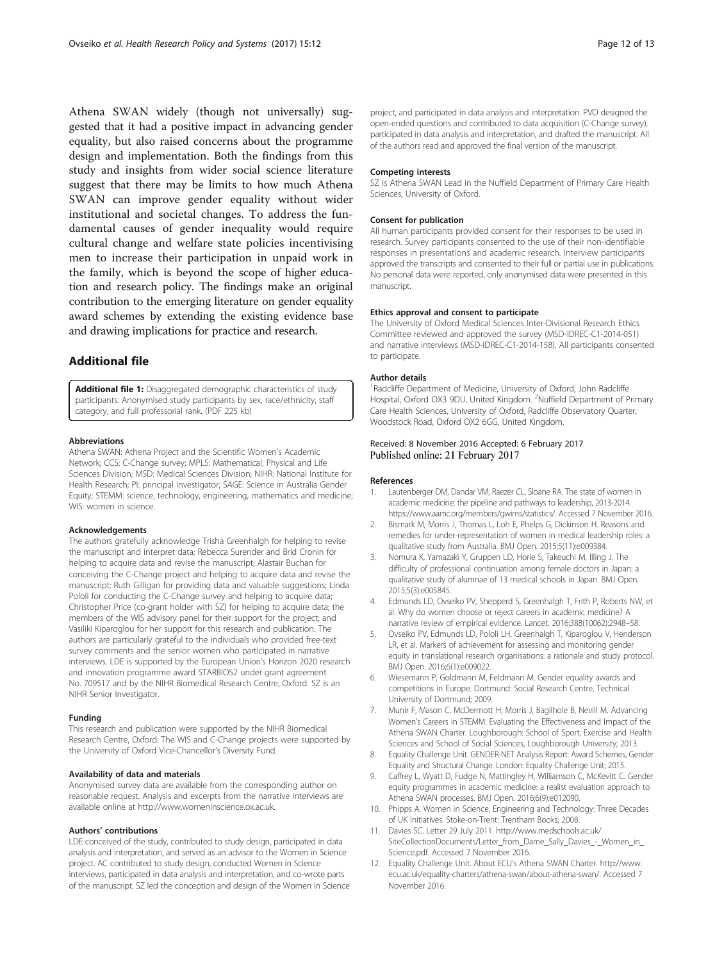<span id="page-11-0"></span>Athena SWAN widely (though not universally) suggested that it had a positive impact in advancing gender equality, but also raised concerns about the programme design and implementation. Both the findings from this study and insights from wider social science literature suggest that there may be limits to how much Athena SWAN can improve gender equality without wider institutional and societal changes. To address the fundamental causes of gender inequality would require cultural change and welfare state policies incentivising men to increase their participation in unpaid work in the family, which is beyond the scope of higher education and research policy. The findings make an original contribution to the emerging literature on gender equality award schemes by extending the existing evidence base and drawing implications for practice and research.

## Additional file

[Additional file 1:](dx.doi.org/10.1186/s12961-017-0177-9) Disaggregated demographic characteristics of study participants. Anonymised study participants by sex, race/ethnicity, staff category, and full professorial rank. (PDF 225 kb)

#### Abbreviations

Athena SWAN: Athena Project and the Scientific Women's Academic Network; CCS: C-Change survey; MPLS: Mathematical, Physical and Life Sciences Division; MSD: Medical Sciences Division; NIHR: National Institute for Health Research; PI: principal investigator; SAGE: Science in Australia Gender Equity; STEMM: science, technology, engineering, mathematics and medicine; WIS: women in science.

#### Acknowledgements

The authors gratefully acknowledge Trisha Greenhalgh for helping to revise the manuscript and interpret data; Rebecca Surender and Bríd Cronin for helping to acquire data and revise the manuscript; Alastair Buchan for conceiving the C-Change project and helping to acquire data and revise the manuscript; Ruth Gilligan for providing data and valuable suggestions; Linda Pololi for conducting the C-Change survey and helping to acquire data; Christopher Price (co-grant holder with SZ) for helping to acquire data; the members of the WIS advisory panel for their support for the project; and Vasiliki Kiparoglou for her support for this research and publication. The authors are particularly grateful to the individuals who provided free-text survey comments and the senior women who participated in narrative interviews. LDE is supported by the European Union's Horizon 2020 research and innovation programme award STARBIOS2 under grant agreement No. 709517 and by the NIHR Biomedical Research Centre, Oxford. SZ is an NIHR Senior Investigator.

#### Funding

This research and publication were supported by the NIHR Biomedical Research Centre, Oxford. The WIS and C-Change projects were supported by the University of Oxford Vice-Chancellor's Diversity Fund.

#### Availability of data and materials

Anonymised survey data are available from the corresponding author on reasonable request. Analysis and excerpts from the narrative interviews are available online at [http://www.womeninscience.ox.ac.uk](http://www.womeninscience.ox.ac.uk/).

#### Authors' contributions

LDE conceived of the study, contributed to study design, participated in data analysis and interpretation, and served as an advisor to the Women in Science project. AC contributed to study design, conducted Women in Science interviews, participated in data analysis and interpretation, and co-wrote parts of the manuscript. SZ led the conception and design of the Women in Science project, and participated in data analysis and interpretation. PVO designed the open-ended questions and contributed to data acquisition (C-Change survey), participated in data analysis and interpretation, and drafted the manuscript. All of the authors read and approved the final version of the manuscript.

#### Competing interests

SZ is Athena SWAN Lead in the Nuffield Department of Primary Care Health Sciences, University of Oxford.

#### Consent for publication

All human participants provided consent for their responses to be used in research. Survey participants consented to the use of their non-identifiable responses in presentations and academic research. Interview participants approved the transcripts and consented to their full or partial use in publications. No personal data were reported, only anonymised data were presented in this manuscript.

#### Ethics approval and consent to participate

The University of Oxford Medical Sciences Inter-Divisional Research Ethics Committee reviewed and approved the survey (MSD-IDREC-C1-2014-051) and narrative interviews (MSD-IDREC-C1-2014-158). All participants consented to participate.

#### Author details

<sup>1</sup>Radcliffe Department of Medicine, University of Oxford, John Radcliffe Hospital, Oxford OX3 9DU, United Kingdom.<sup>2</sup>Nuffield Department of Primary Care Health Sciences, University of Oxford, Radcliffe Observatory Quarter, Woodstock Road, Oxford OX2 6GG, United Kingdom.

### Received: 8 November 2016 Accepted: 6 February 2017 Published online: 21 February 2017

#### References

- 1. Lautenberger DM, Dandar VM, Raezer CL, Sloane RA. The state of women in academic medicine: the pipeline and pathways to leadership, 2013-2014. [https://www.aamc.org/members/gwims/statistics/.](https://www.aamc.org/members/gwims/statistics/) Accessed 7 November 2016.
- Bismark M, Morris J, Thomas L, Loh E, Phelps G, Dickinson H. Reasons and remedies for under-representation of women in medical leadership roles: a qualitative study from Australia. BMJ Open. 2015;5(11):e009384.
- 3. Nomura K, Yamazaki Y, Gruppen LD, Horie S, Takeuchi M, Illing J. The difficulty of professional continuation among female doctors in Japan: a qualitative study of alumnae of 13 medical schools in Japan. BMJ Open. 2015;5(3):e005845.
- 4. Edmunds LD, Ovseiko PV, Shepperd S, Greenhalgh T, Frith P, Roberts NW, et al. Why do women choose or reject careers in academic medicine? A narrative review of empirical evidence. Lancet. 2016;388(10062):2948–58.
- 5. Ovseiko PV, Edmunds LD, Pololi LH, Greenhalgh T, Kiparoglou V, Henderson LR, et al. Markers of achievement for assessing and monitoring gender equity in translational research organisations: a rationale and study protocol. BMJ Open. 2016;6(1):e009022.
- 6. Wiesemann P, Goldmann M, Feldmann M. Gender equality awards and competitions in Europe. Dortmund: Social Research Centre, Technical University of Dortmund; 2009.
- 7. Munir F, Mason C, McDermott H, Morris J, Bagilhole B, Nevill M. Advancing Women's Careers in STEMM: Evaluating the Effectiveness and Impact of the Athena SWAN Charter. Loughborough: School of Sport, Exercise and Health Sciences and School of Social Sciences, Loughborough University; 2013.
- 8. Equality Challenge Unit. GENDER-NET Analysis Report: Award Schemes, Gender Equality and Structural Change. London: Equality Challenge Unit; 2015.
- 9. Caffrey L, Wyatt D, Fudge N, Mattingley H, Williamson C, McKevitt C. Gender equity programmes in academic medicine: a realist evaluation approach to Athena SWAN processes. BMJ Open. 2016;6(9):e012090.
- 10. Phipps A. Women in Science, Engineering and Technology: Three Decades of UK Initiatives. Stoke-on-Trent: Trentham Books; 2008.
- 11. Davies SC. Letter 29 July 2011. [http://www.medschools.ac.uk/](http://www.medschools.ac.uk/SiteCollectionDocuments/Letter_from_Dame_Sally_Davies_-_Women_in_Science.pdf) [SiteCollectionDocuments/Letter\\_from\\_Dame\\_Sally\\_Davies\\_-\\_Women\\_in\\_](http://www.medschools.ac.uk/SiteCollectionDocuments/Letter_from_Dame_Sally_Davies_-_Women_in_Science.pdf) [Science.pdf](http://www.medschools.ac.uk/SiteCollectionDocuments/Letter_from_Dame_Sally_Davies_-_Women_in_Science.pdf). Accessed 7 November 2016.
- 12. Equality Challenge Unit. About ECU's Athena SWAN Charter. [http://www.](http://www.ecu.ac.uk/equality-charters/athena-swan/about-athena-swan/) [ecu.ac.uk/equality-charters/athena-swan/about-athena-swan/](http://www.ecu.ac.uk/equality-charters/athena-swan/about-athena-swan/). Accessed 7 November 2016.